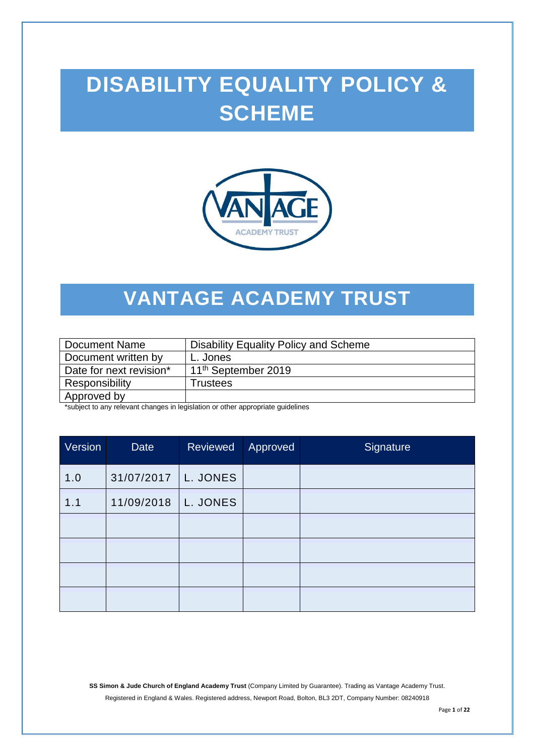# **DISABILITY EQUALITY POLICY & SCHEME**



## **VANTAGE ACADEMY TRUST**

| Document Name           | Disability Equality Policy and Scheme |
|-------------------------|---------------------------------------|
| Document written by     | L. Jones                              |
| Date for next revision* | 11 <sup>th</sup> September 2019       |
| Responsibility          | Trustees                              |
| Approved by             |                                       |

\*subject to any relevant changes in legislation or other appropriate guidelines

| Version | Date       | Reviewed | Approved | Signature |
|---------|------------|----------|----------|-----------|
| 1.0     | 31/07/2017 | L. JONES |          |           |
| 1.1     | 11/09/2018 | L. JONES |          |           |
|         |            |          |          |           |
|         |            |          |          |           |
|         |            |          |          |           |
|         |            |          |          |           |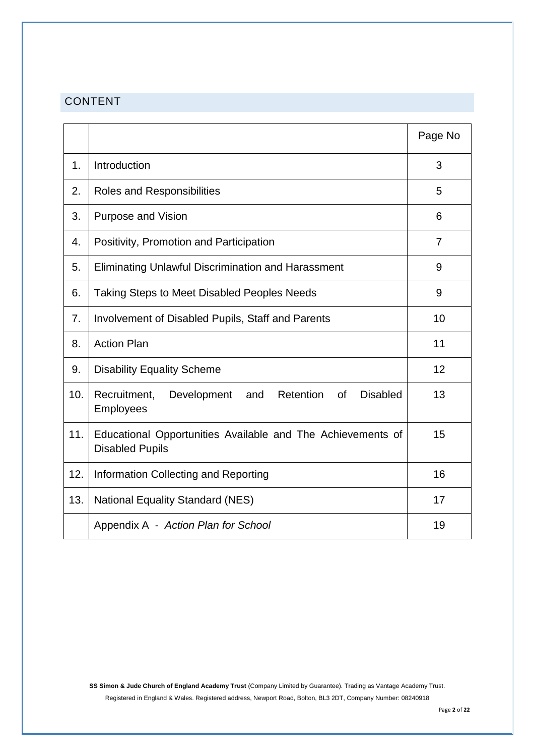## CONTENT

|     |                                                                                                     | Page No |
|-----|-----------------------------------------------------------------------------------------------------|---------|
| 1.  | Introduction                                                                                        | 3       |
| 2.  | <b>Roles and Responsibilities</b>                                                                   | 5       |
| 3.  | <b>Purpose and Vision</b>                                                                           | 6       |
| 4.  | Positivity, Promotion and Participation                                                             | 7       |
| 5.  | Eliminating Unlawful Discrimination and Harassment                                                  | 9       |
| 6.  | <b>Taking Steps to Meet Disabled Peoples Needs</b>                                                  | 9       |
| 7.  | Involvement of Disabled Pupils, Staff and Parents                                                   | 10      |
| 8.  | <b>Action Plan</b>                                                                                  | 11      |
| 9.  | <b>Disability Equality Scheme</b>                                                                   | 12      |
| 10. | <b>Disabled</b><br>Recruitment,<br>Retention<br><b>of</b><br>Development<br>and<br><b>Employees</b> | 13      |
| 11. | Educational Opportunities Available and The Achievements of<br><b>Disabled Pupils</b>               | 15      |
| 12. | Information Collecting and Reporting                                                                | 16      |
| 13. | <b>National Equality Standard (NES)</b>                                                             | 17      |
|     | Appendix A - Action Plan for School                                                                 | 19      |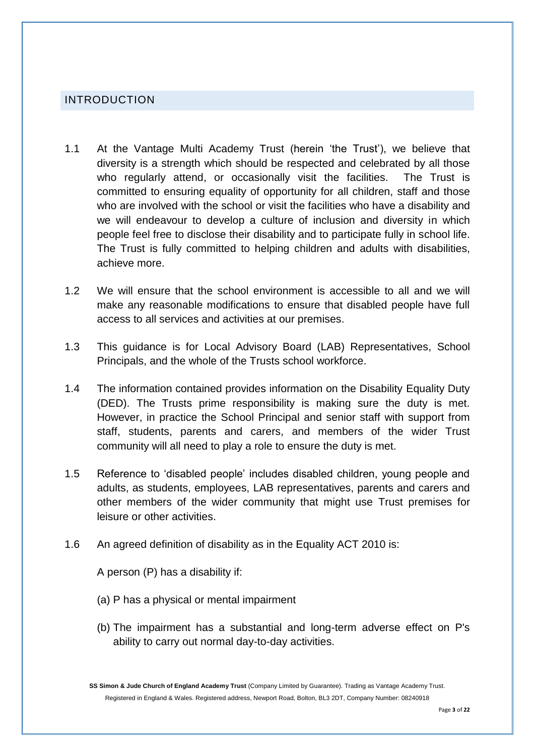## INTRODUCTION

- 1.1 At the Vantage Multi Academy Trust (herein 'the Trust'), we believe that diversity is a strength which should be respected and celebrated by all those who regularly attend, or occasionally visit the facilities. The Trust is committed to ensuring equality of opportunity for all children, staff and those who are involved with the school or visit the facilities who have a disability and we will endeavour to develop a culture of inclusion and diversity in which people feel free to disclose their disability and to participate fully in school life. The Trust is fully committed to helping children and adults with disabilities, achieve more.
- 1.2 We will ensure that the school environment is accessible to all and we will make any reasonable modifications to ensure that disabled people have full access to all services and activities at our premises.
- 1.3 This guidance is for Local Advisory Board (LAB) Representatives, School Principals, and the whole of the Trusts school workforce.
- 1.4 The information contained provides information on the Disability Equality Duty (DED). The Trusts prime responsibility is making sure the duty is met. However, in practice the School Principal and senior staff with support from staff, students, parents and carers, and members of the wider Trust community will all need to play a role to ensure the duty is met.
- 1.5 Reference to 'disabled people' includes disabled children, young people and adults, as students, employees, LAB representatives, parents and carers and other members of the wider community that might use Trust premises for leisure or other activities.
- 1.6 An agreed definition of disability as in the Equality ACT 2010 is:

A person (P) has a disability if:

- (a) P has a physical or mental impairment
- (b) The impairment has a substantial and long-term adverse effect on P's ability to carry out normal day-to-day activities.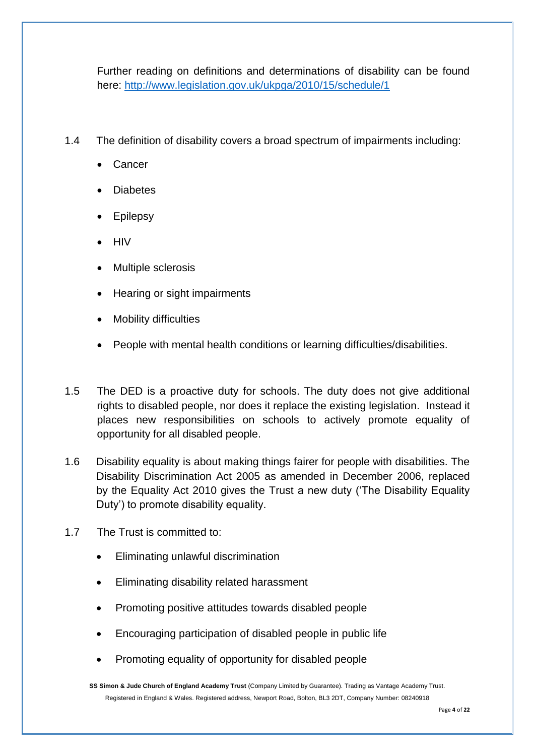Further reading on definitions and determinations of disability can be found here:<http://www.legislation.gov.uk/ukpga/2010/15/schedule/1>

- 1.4 The definition of disability covers a broad spectrum of impairments including:
	- Cancer
	- **Diabetes**
	- **Epilepsy**
	- **HIV**
	- Multiple sclerosis
	- Hearing or sight impairments
	- Mobility difficulties
	- People with mental health conditions or learning difficulties/disabilities.
- 1.5 The DED is a proactive duty for schools. The duty does not give additional rights to disabled people, nor does it replace the existing legislation. Instead it places new responsibilities on schools to actively promote equality of opportunity for all disabled people.
- 1.6 Disability equality is about making things fairer for people with disabilities. The Disability Discrimination Act 2005 as amended in December 2006, replaced by the Equality Act 2010 gives the Trust a new duty ('The Disability Equality Duty') to promote disability equality.
- 1.7 The Trust is committed to:
	- Eliminating unlawful discrimination
	- Eliminating disability related harassment
	- Promoting positive attitudes towards disabled people
	- Encouraging participation of disabled people in public life
	- Promoting equality of opportunity for disabled people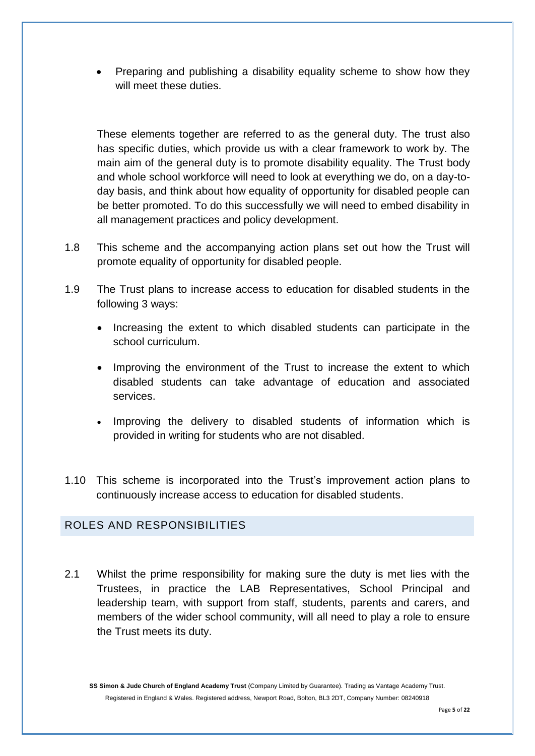Preparing and publishing a disability equality scheme to show how they will meet these duties.

These elements together are referred to as the general duty. The trust also has specific duties, which provide us with a clear framework to work by. The main aim of the general duty is to promote disability equality. The Trust body and whole school workforce will need to look at everything we do, on a day-today basis, and think about how equality of opportunity for disabled people can be better promoted. To do this successfully we will need to embed disability in all management practices and policy development.

- 1.8 This scheme and the accompanying action plans set out how the Trust will promote equality of opportunity for disabled people.
- 1.9 The Trust plans to increase access to education for disabled students in the following 3 ways:
	- Increasing the extent to which disabled students can participate in the school curriculum.
	- Improving the environment of the Trust to increase the extent to which disabled students can take advantage of education and associated services.
	- Improving the delivery to disabled students of information which is provided in writing for students who are not disabled.
- 1.10 This scheme is incorporated into the Trust's improvement action plans to continuously increase access to education for disabled students.

## ROLES AND RESPONSIBILITIES

2.1 Whilst the prime responsibility for making sure the duty is met lies with the Trustees, in practice the LAB Representatives, School Principal and leadership team, with support from staff, students, parents and carers, and members of the wider school community, will all need to play a role to ensure the Trust meets its duty.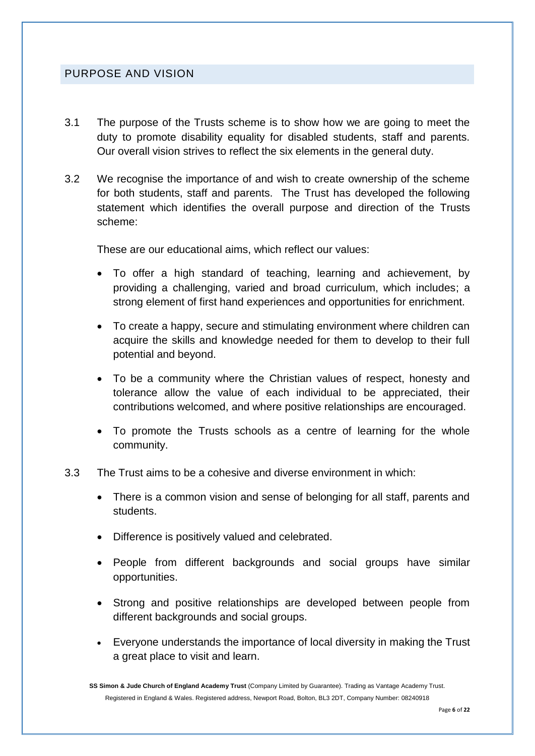## PURPOSE AND VISION

- 3.1 The purpose of the Trusts scheme is to show how we are going to meet the duty to promote disability equality for disabled students, staff and parents. Our overall vision strives to reflect the six elements in the general duty.
- 3.2 We recognise the importance of and wish to create ownership of the scheme for both students, staff and parents. The Trust has developed the following statement which identifies the overall purpose and direction of the Trusts scheme:

These are our educational aims, which reflect our values:

- To offer a high standard of teaching, learning and achievement, by providing a challenging, varied and broad curriculum, which includes; a strong element of first hand experiences and opportunities for enrichment.
- To create a happy, secure and stimulating environment where children can acquire the skills and knowledge needed for them to develop to their full potential and beyond.
- To be a community where the Christian values of respect, honesty and tolerance allow the value of each individual to be appreciated, their contributions welcomed, and where positive relationships are encouraged.
- To promote the Trusts schools as a centre of learning for the whole community.
- 3.3 The Trust aims to be a cohesive and diverse environment in which:
	- There is a common vision and sense of belonging for all staff, parents and students.
	- Difference is positively valued and celebrated.
	- People from different backgrounds and social groups have similar opportunities.
	- Strong and positive relationships are developed between people from different backgrounds and social groups.
	- Everyone understands the importance of local diversity in making the Trust a great place to visit and learn.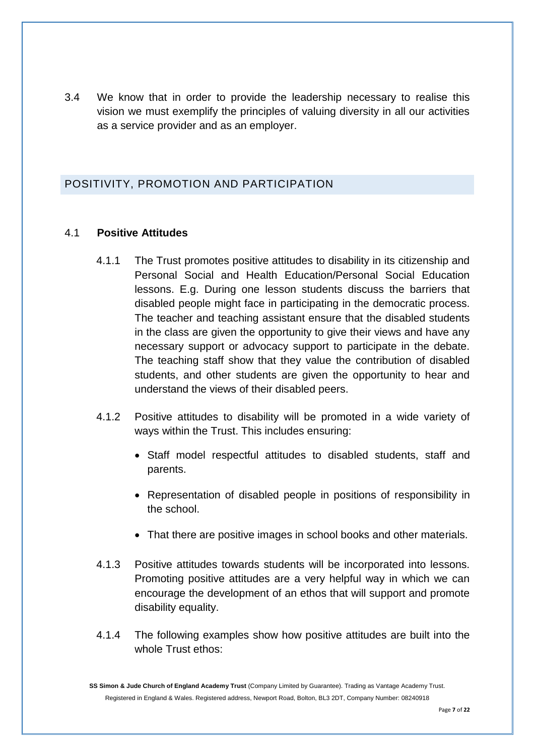3.4 We know that in order to provide the leadership necessary to realise this vision we must exemplify the principles of valuing diversity in all our activities as a service provider and as an employer.

## POSITIVITY, PROMOTION AND PARTICIPATION

### 4.1 **Positive Attitudes**

- 4.1.1 The Trust promotes positive attitudes to disability in its citizenship and Personal Social and Health Education/Personal Social Education lessons. E.g. During one lesson students discuss the barriers that disabled people might face in participating in the democratic process. The teacher and teaching assistant ensure that the disabled students in the class are given the opportunity to give their views and have any necessary support or advocacy support to participate in the debate. The teaching staff show that they value the contribution of disabled students, and other students are given the opportunity to hear and understand the views of their disabled peers.
- 4.1.2 Positive attitudes to disability will be promoted in a wide variety of ways within the Trust. This includes ensuring:
	- Staff model respectful attitudes to disabled students, staff and parents.
	- Representation of disabled people in positions of responsibility in the school.
	- That there are positive images in school books and other materials.
- 4.1.3 Positive attitudes towards students will be incorporated into lessons. Promoting positive attitudes are a very helpful way in which we can encourage the development of an ethos that will support and promote disability equality.
- 4.1.4 The following examples show how positive attitudes are built into the whole Trust ethos: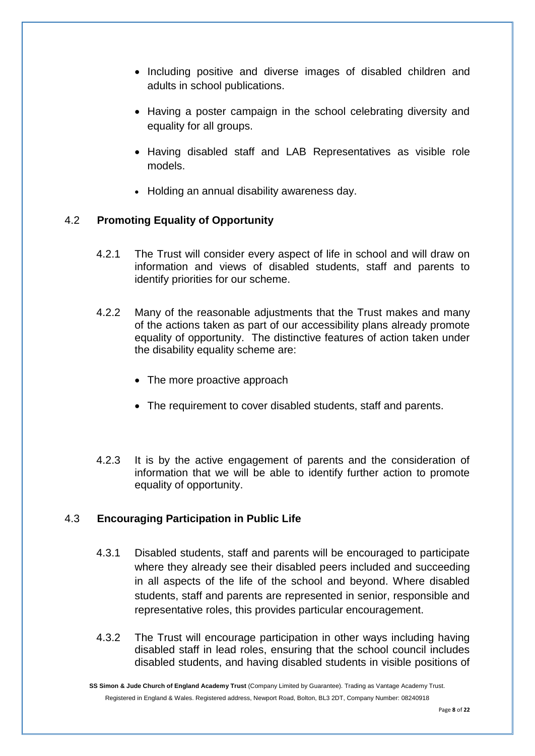- Including positive and diverse images of disabled children and adults in school publications.
- Having a poster campaign in the school celebrating diversity and equality for all groups.
- Having disabled staff and LAB Representatives as visible role models.
- Holding an annual disability awareness day.

#### 4.2 **Promoting Equality of Opportunity**

- 4.2.1 The Trust will consider every aspect of life in school and will draw on information and views of disabled students, staff and parents to identify priorities for our scheme.
- 4.2.2 Many of the reasonable adjustments that the Trust makes and many of the actions taken as part of our accessibility plans already promote equality of opportunity. The distinctive features of action taken under the disability equality scheme are:
	- The more proactive approach
	- The requirement to cover disabled students, staff and parents.
- 4.2.3 It is by the active engagement of parents and the consideration of information that we will be able to identify further action to promote equality of opportunity.

#### 4.3 **Encouraging Participation in Public Life**

- 4.3.1 Disabled students, staff and parents will be encouraged to participate where they already see their disabled peers included and succeeding in all aspects of the life of the school and beyond. Where disabled students, staff and parents are represented in senior, responsible and representative roles, this provides particular encouragement.
- 4.3.2 The Trust will encourage participation in other ways including having disabled staff in lead roles, ensuring that the school council includes disabled students, and having disabled students in visible positions of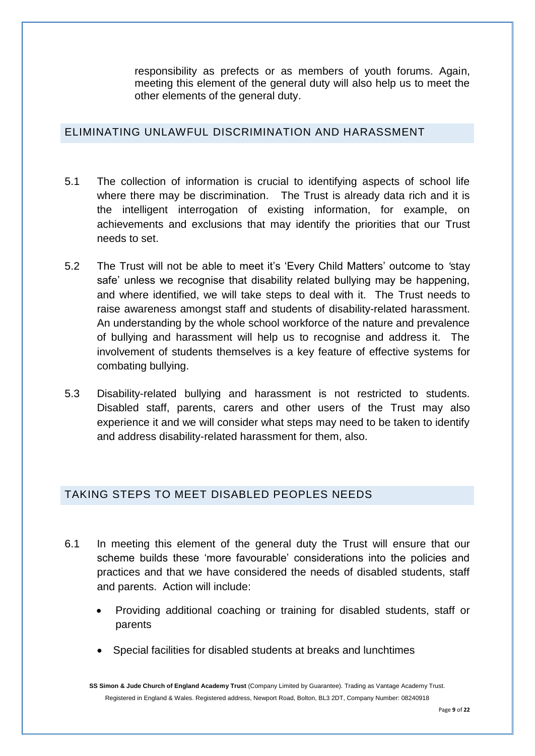responsibility as prefects or as members of youth forums. Again, meeting this element of the general duty will also help us to meet the other elements of the general duty.

## ELIMINATING UNLAWFUL DISCRIMINATION AND HARASSMENT

- 5.1 The collection of information is crucial to identifying aspects of school life where there may be discrimination. The Trust is already data rich and it is the intelligent interrogation of existing information, for example, on achievements and exclusions that may identify the priorities that our Trust needs to set.
- 5.2 The Trust will not be able to meet it's 'Every Child Matters' outcome to *'*stay safe' unless we recognise that disability related bullying may be happening, and where identified, we will take steps to deal with it. The Trust needs to raise awareness amongst staff and students of disability-related harassment. An understanding by the whole school workforce of the nature and prevalence of bullying and harassment will help us to recognise and address it. The involvement of students themselves is a key feature of effective systems for combating bullying.
- 5.3 Disability-related bullying and harassment is not restricted to students. Disabled staff, parents, carers and other users of the Trust may also experience it and we will consider what steps may need to be taken to identify and address disability-related harassment for them, also.

## TAKING STEPS TO MEET DISABLED PEOPLES NEEDS

- 6.1 In meeting this element of the general duty the Trust will ensure that our scheme builds these 'more favourable' considerations into the policies and practices and that we have considered the needs of disabled students, staff and parents. Action will include:
	- Providing additional coaching or training for disabled students, staff or parents
	- Special facilities for disabled students at breaks and lunchtimes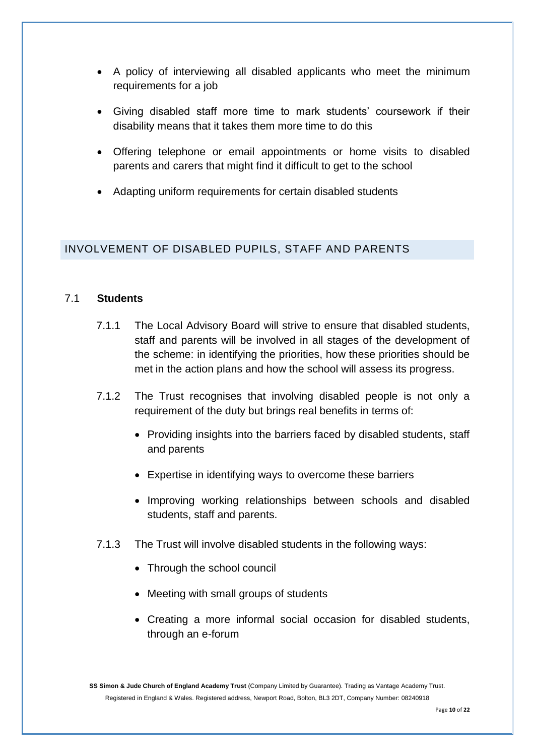- A policy of interviewing all disabled applicants who meet the minimum requirements for a job
- Giving disabled staff more time to mark students' coursework if their disability means that it takes them more time to do this
- Offering telephone or email appointments or home visits to disabled parents and carers that might find it difficult to get to the school
- Adapting uniform requirements for certain disabled students

## INVOLVEMENT OF DISABLED PUPILS, STAFF AND PARENTS

#### 7.1 **Students**

- 7.1.1 The Local Advisory Board will strive to ensure that disabled students, staff and parents will be involved in all stages of the development of the scheme: in identifying the priorities, how these priorities should be met in the action plans and how the school will assess its progress.
- 7.1.2 The Trust recognises that involving disabled people is not only a requirement of the duty but brings real benefits in terms of:
	- Providing insights into the barriers faced by disabled students, staff and parents
	- Expertise in identifying ways to overcome these barriers
	- Improving working relationships between schools and disabled students, staff and parents.
- 7.1.3 The Trust will involve disabled students in the following ways:
	- Through the school council
	- Meeting with small groups of students
	- Creating a more informal social occasion for disabled students, through an e-forum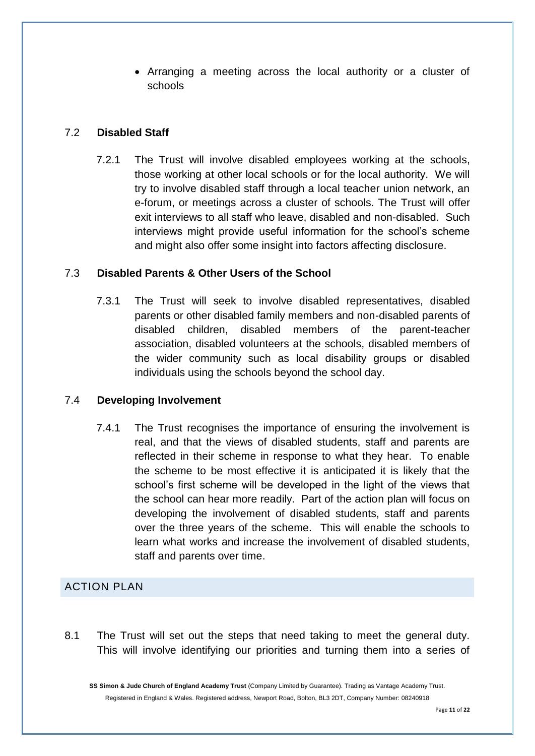Arranging a meeting across the local authority or a cluster of schools

#### 7.2 **Disabled Staff**

7.2.1 The Trust will involve disabled employees working at the schools, those working at other local schools or for the local authority. We will try to involve disabled staff through a local teacher union network, an e-forum, or meetings across a cluster of schools. The Trust will offer exit interviews to all staff who leave, disabled and non-disabled. Such interviews might provide useful information for the school's scheme and might also offer some insight into factors affecting disclosure.

#### 7.3 **Disabled Parents & Other Users of the School**

7.3.1 The Trust will seek to involve disabled representatives, disabled parents or other disabled family members and non-disabled parents of disabled children, disabled members of the parent-teacher association, disabled volunteers at the schools, disabled members of the wider community such as local disability groups or disabled individuals using the schools beyond the school day.

#### 7.4 **Developing Involvement**

7.4.1 The Trust recognises the importance of ensuring the involvement is real, and that the views of disabled students, staff and parents are reflected in their scheme in response to what they hear. To enable the scheme to be most effective it is anticipated it is likely that the school's first scheme will be developed in the light of the views that the school can hear more readily. Part of the action plan will focus on developing the involvement of disabled students, staff and parents over the three years of the scheme. This will enable the schools to learn what works and increase the involvement of disabled students, staff and parents over time.

## ACTION PLAN

8.1 The Trust will set out the steps that need taking to meet the general duty. This will involve identifying our priorities and turning them into a series of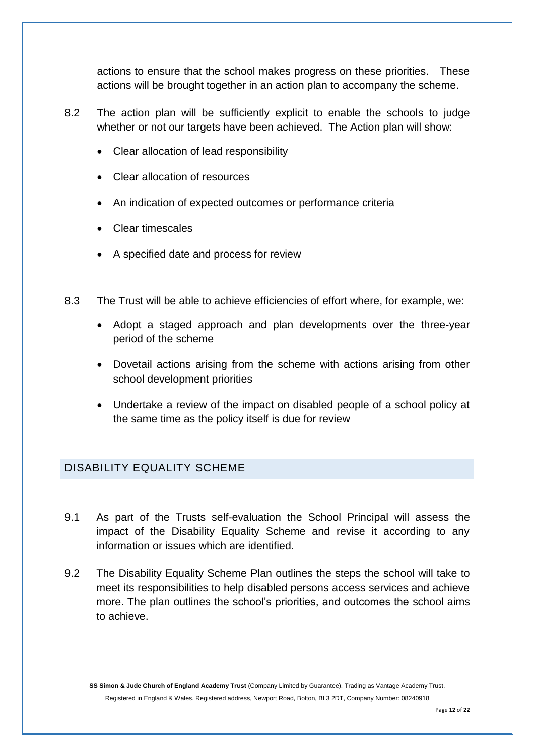actions to ensure that the school makes progress on these priorities. These actions will be brought together in an action plan to accompany the scheme.

- 8.2 The action plan will be sufficiently explicit to enable the schools to judge whether or not our targets have been achieved. The Action plan will show:
	- Clear allocation of lead responsibility
	- Clear allocation of resources
	- An indication of expected outcomes or performance criteria
	- Clear timescales
	- A specified date and process for review
- 8.3 The Trust will be able to achieve efficiencies of effort where, for example, we:
	- Adopt a staged approach and plan developments over the three-year period of the scheme
	- Dovetail actions arising from the scheme with actions arising from other school development priorities
	- Undertake a review of the impact on disabled people of a school policy at the same time as the policy itself is due for review

#### DISABILITY EQUALITY SCHEME

- 9.1 As part of the Trusts self-evaluation the School Principal will assess the impact of the Disability Equality Scheme and revise it according to any information or issues which are identified.
- 9.2 The Disability Equality Scheme Plan outlines the steps the school will take to meet its responsibilities to help disabled persons access services and achieve more. The plan outlines the school's priorities, and outcomes the school aims to achieve.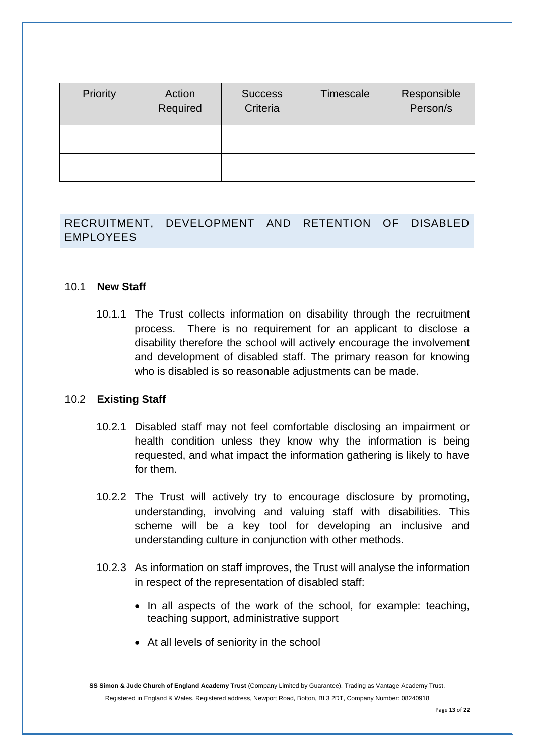| Priority | Action<br>Required | <b>Success</b><br>Criteria | Timescale | Responsible<br>Person/s |
|----------|--------------------|----------------------------|-----------|-------------------------|
|          |                    |                            |           |                         |
|          |                    |                            |           |                         |

## RECRUITMENT, DEVELOPMENT AND RETENTION OF DISABLED EMPLOYEES

#### 10.1 **New Staff**

10.1.1 The Trust collects information on disability through the recruitment process. There is no requirement for an applicant to disclose a disability therefore the school will actively encourage the involvement and development of disabled staff. The primary reason for knowing who is disabled is so reasonable adjustments can be made.

#### 10.2 **Existing Staff**

- 10.2.1 Disabled staff may not feel comfortable disclosing an impairment or health condition unless they know why the information is being requested, and what impact the information gathering is likely to have for them.
- 10.2.2 The Trust will actively try to encourage disclosure by promoting, understanding, involving and valuing staff with disabilities. This scheme will be a key tool for developing an inclusive and understanding culture in conjunction with other methods.
- 10.2.3 As information on staff improves, the Trust will analyse the information in respect of the representation of disabled staff:
	- In all aspects of the work of the school, for example: teaching, teaching support, administrative support
	- At all levels of seniority in the school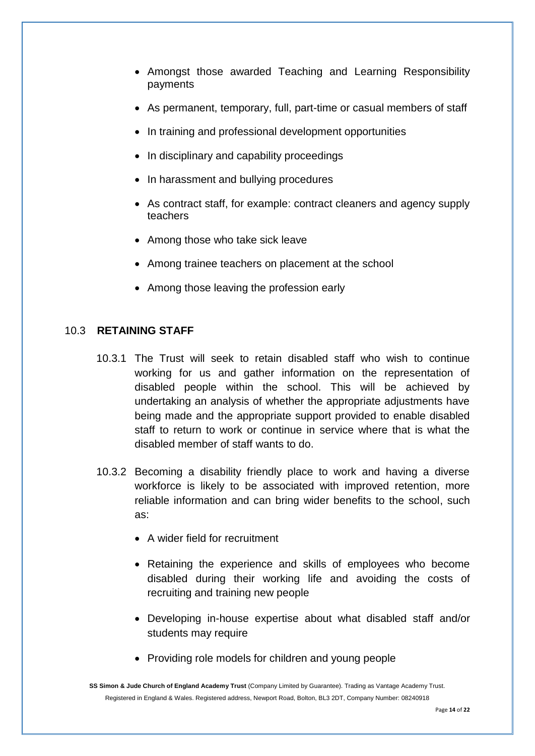- Amongst those awarded Teaching and Learning Responsibility payments
- As permanent, temporary, full, part-time or casual members of staff
- In training and professional development opportunities
- In disciplinary and capability proceedings
- In harassment and bullying procedures
- As contract staff, for example: contract cleaners and agency supply teachers
- Among those who take sick leave
- Among trainee teachers on placement at the school
- Among those leaving the profession early

#### 10.3 **RETAINING STAFF**

- 10.3.1 The Trust will seek to retain disabled staff who wish to continue working for us and gather information on the representation of disabled people within the school. This will be achieved by undertaking an analysis of whether the appropriate adjustments have being made and the appropriate support provided to enable disabled staff to return to work or continue in service where that is what the disabled member of staff wants to do.
- 10.3.2 Becoming a disability friendly place to work and having a diverse workforce is likely to be associated with improved retention, more reliable information and can bring wider benefits to the school, such as:
	- A wider field for recruitment
	- Retaining the experience and skills of employees who become disabled during their working life and avoiding the costs of recruiting and training new people
	- Developing in-house expertise about what disabled staff and/or students may require
	- Providing role models for children and young people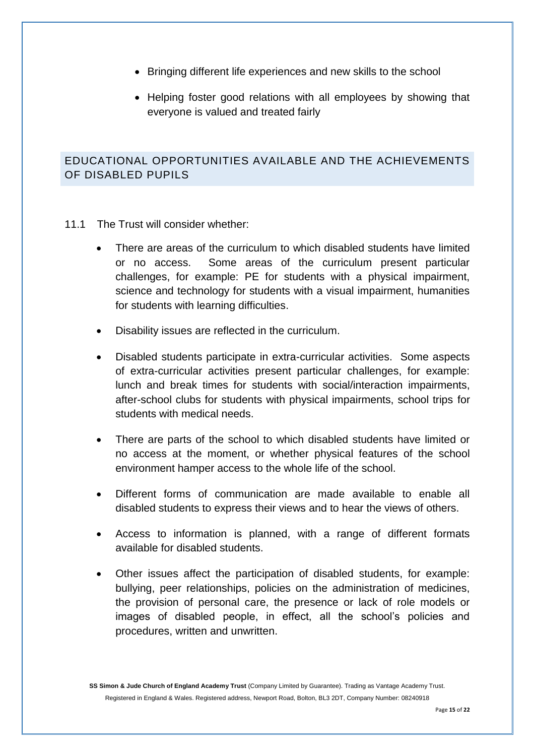- Bringing different life experiences and new skills to the school
- Helping foster good relations with all employees by showing that everyone is valued and treated fairly

## EDUCATIONAL OPPORTUNITIES AVAILABLE AND THE ACHIEVEMENTS OF DISABLED PUPILS

- 11.1 The Trust will consider whether:
	- There are areas of the curriculum to which disabled students have limited or no access. Some areas of the curriculum present particular challenges, for example: PE for students with a physical impairment, science and technology for students with a visual impairment, humanities for students with learning difficulties.
	- Disability issues are reflected in the curriculum.
	- Disabled students participate in extra-curricular activities. Some aspects of extra-curricular activities present particular challenges, for example: lunch and break times for students with social/interaction impairments, after-school clubs for students with physical impairments, school trips for students with medical needs.
	- There are parts of the school to which disabled students have limited or no access at the moment, or whether physical features of the school environment hamper access to the whole life of the school.
	- Different forms of communication are made available to enable all disabled students to express their views and to hear the views of others.
	- Access to information is planned, with a range of different formats available for disabled students.
	- Other issues affect the participation of disabled students, for example: bullying, peer relationships, policies on the administration of medicines, the provision of personal care, the presence or lack of role models or images of disabled people, in effect, all the school's policies and procedures, written and unwritten.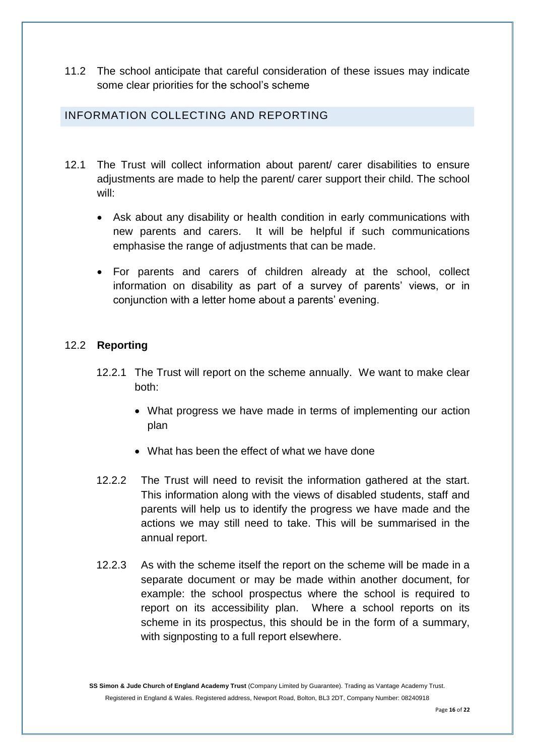11.2 The school anticipate that careful consideration of these issues may indicate some clear priorities for the school's scheme

## INFORMATION COLLECTING AND REPORTING

- 12.1 The Trust will collect information about parent/ carer disabilities to ensure adjustments are made to help the parent/ carer support their child. The school will:
	- Ask about any disability or health condition in early communications with new parents and carers. It will be helpful if such communications emphasise the range of adjustments that can be made.
	- For parents and carers of children already at the school, collect information on disability as part of a survey of parents' views, or in conjunction with a letter home about a parents' evening.

#### 12.2 **Reporting**

- 12.2.1 The Trust will report on the scheme annually. We want to make clear both:
	- What progress we have made in terms of implementing our action plan
	- What has been the effect of what we have done
- 12.2.2 The Trust will need to revisit the information gathered at the start. This information along with the views of disabled students, staff and parents will help us to identify the progress we have made and the actions we may still need to take. This will be summarised in the annual report.
- 12.2.3 As with the scheme itself the report on the scheme will be made in a separate document or may be made within another document, for example: the school prospectus where the school is required to report on its accessibility plan. Where a school reports on its scheme in its prospectus, this should be in the form of a summary, with signposting to a full report elsewhere.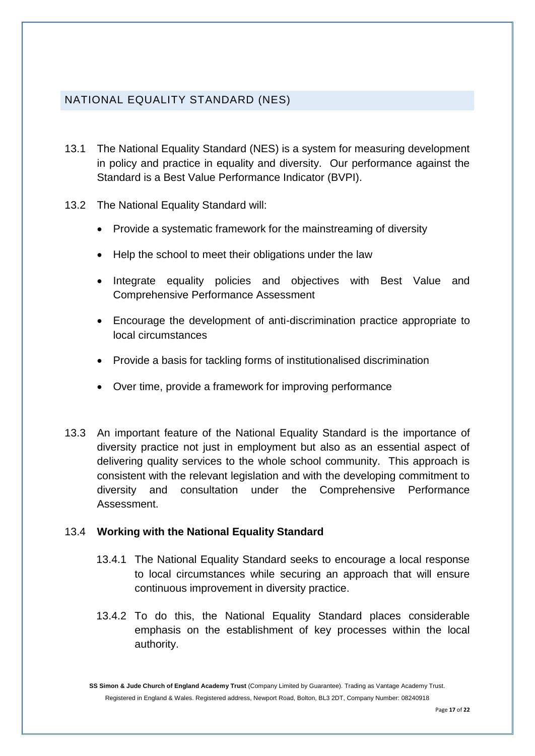## NATIONAL EQUALITY STANDARD (NES)

- 13.1 The National Equality Standard (NES) is a system for measuring development in policy and practice in equality and diversity. Our performance against the Standard is a Best Value Performance Indicator (BVPI).
- 13.2 The National Equality Standard will:
	- Provide a systematic framework for the mainstreaming of diversity
	- Help the school to meet their obligations under the law
	- Integrate equality policies and objectives with Best Value and Comprehensive Performance Assessment
	- Encourage the development of anti-discrimination practice appropriate to local circumstances
	- Provide a basis for tackling forms of institutionalised discrimination
	- Over time, provide a framework for improving performance
- 13.3 An important feature of the National Equality Standard is the importance of diversity practice not just in employment but also as an essential aspect of delivering quality services to the whole school community. This approach is consistent with the relevant legislation and with the developing commitment to diversity and consultation under the Comprehensive Performance Assessment.

#### 13.4 **Working with the National Equality Standard**

- 13.4.1 The National Equality Standard seeks to encourage a local response to local circumstances while securing an approach that will ensure continuous improvement in diversity practice.
- 13.4.2 To do this, the National Equality Standard places considerable emphasis on the establishment of key processes within the local authority.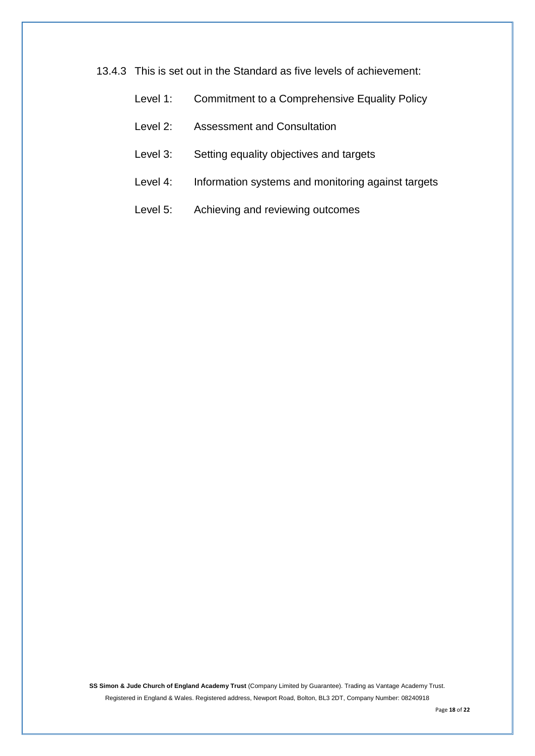13.4.3 This is set out in the Standard as five levels of achievement:

| Level 1: | Commitment to a Comprehensive Equality Policy |  |  |  |  |
|----------|-----------------------------------------------|--|--|--|--|
|----------|-----------------------------------------------|--|--|--|--|

- Level 2: Assessment and Consultation
- Level 3: Setting equality objectives and targets
- Level 4: Information systems and monitoring against targets
- Level 5: Achieving and reviewing outcomes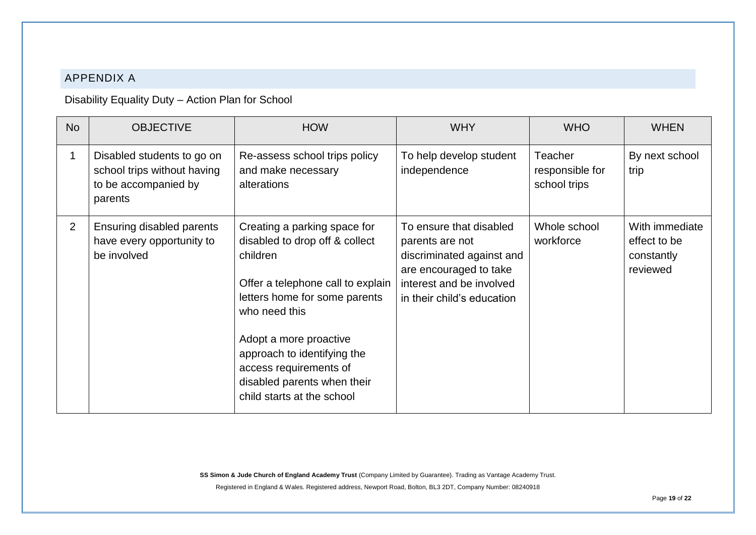## APPENDIX A

Disability Equality Duty – Action Plan for School

| <b>No</b>      | <b>OBJECTIVE</b>                                                                             | <b>HOW</b>                                                                                                                                                                                                                                                                                                        | <b>WHY</b>                                                                                                                                                  | <b>WHO</b>                                        | <b>WHEN</b>                                              |
|----------------|----------------------------------------------------------------------------------------------|-------------------------------------------------------------------------------------------------------------------------------------------------------------------------------------------------------------------------------------------------------------------------------------------------------------------|-------------------------------------------------------------------------------------------------------------------------------------------------------------|---------------------------------------------------|----------------------------------------------------------|
|                | Disabled students to go on<br>school trips without having<br>to be accompanied by<br>parents | Re-assess school trips policy<br>and make necessary<br>alterations                                                                                                                                                                                                                                                | To help develop student<br>independence                                                                                                                     | <b>Teacher</b><br>responsible for<br>school trips | By next school<br>trip                                   |
| $\overline{2}$ | Ensuring disabled parents<br>have every opportunity to<br>be involved                        | Creating a parking space for<br>disabled to drop off & collect<br>children<br>Offer a telephone call to explain<br>letters home for some parents<br>who need this<br>Adopt a more proactive<br>approach to identifying the<br>access requirements of<br>disabled parents when their<br>child starts at the school | To ensure that disabled<br>parents are not<br>discriminated against and<br>are encouraged to take<br>interest and be involved<br>in their child's education | Whole school<br>workforce                         | With immediate<br>effect to be<br>constantly<br>reviewed |

**SS Simon & Jude Church of England Academy Trust** (Company Limited by Guarantee). Trading as Vantage Academy Trust.

Registered in England & Wales. Registered address, Newport Road, Bolton, BL3 2DT, Company Number: 08240918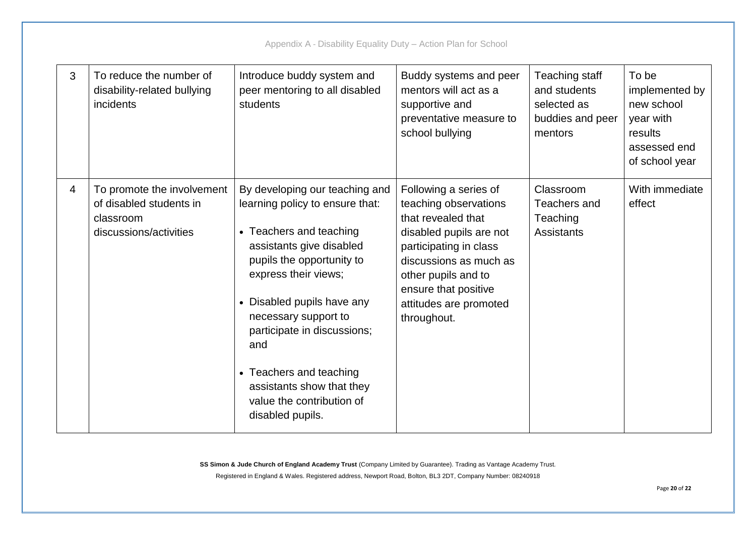| 3 | To reduce the number of<br>disability-related bullying<br>incidents                          | Introduce buddy system and<br>peer mentoring to all disabled<br>students                                                                                                                                                                                                                                                                                                           | Buddy systems and peer<br>mentors will act as a<br>supportive and<br>preventative measure to<br>school bullying                                                                                                                             | Teaching staff<br>and students<br>selected as<br>buddies and peer<br>mentors | To be<br>implemented by<br>new school<br>year with<br>results<br>assessed end<br>of school year |
|---|----------------------------------------------------------------------------------------------|------------------------------------------------------------------------------------------------------------------------------------------------------------------------------------------------------------------------------------------------------------------------------------------------------------------------------------------------------------------------------------|---------------------------------------------------------------------------------------------------------------------------------------------------------------------------------------------------------------------------------------------|------------------------------------------------------------------------------|-------------------------------------------------------------------------------------------------|
| 4 | To promote the involvement<br>of disabled students in<br>classroom<br>discussions/activities | By developing our teaching and<br>learning policy to ensure that:<br>• Teachers and teaching<br>assistants give disabled<br>pupils the opportunity to<br>express their views;<br>• Disabled pupils have any<br>necessary support to<br>participate in discussions;<br>and<br>• Teachers and teaching<br>assistants show that they<br>value the contribution of<br>disabled pupils. | Following a series of<br>teaching observations<br>that revealed that<br>disabled pupils are not<br>participating in class<br>discussions as much as<br>other pupils and to<br>ensure that positive<br>attitudes are promoted<br>throughout. | Classroom<br>Teachers and<br>Teaching<br>Assistants                          | With immediate<br>effect                                                                        |

Appendix A - Disability Equality Duty – Action Plan for School

**SS Simon & Jude Church of England Academy Trust** (Company Limited by Guarantee). Trading as Vantage Academy Trust.

Registered in England & Wales. Registered address, Newport Road, Bolton, BL3 2DT, Company Number: 08240918